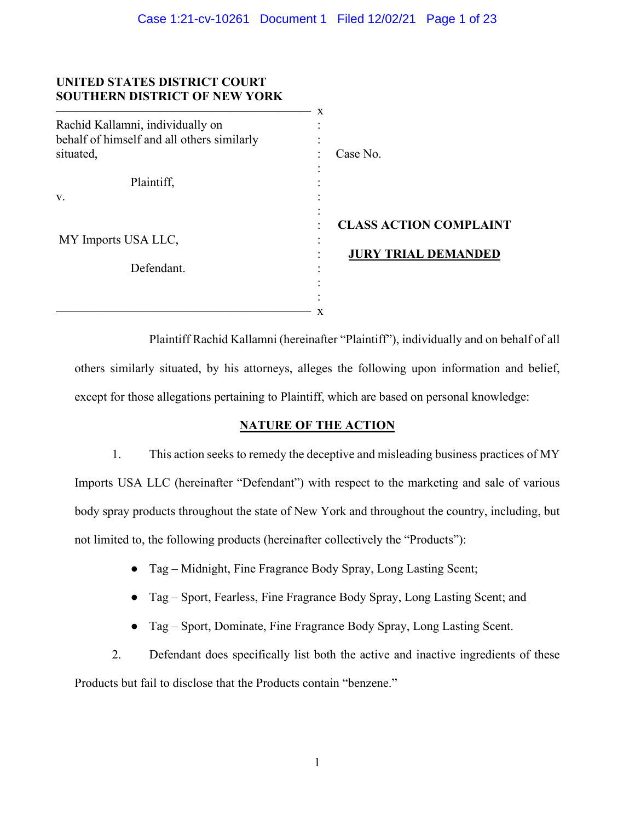## **UNITED STATES DISTRICT COURT SOUTHERN DISTRICT OF NEW YORK**

|                                            | X                             |
|--------------------------------------------|-------------------------------|
| Rachid Kallamni, individually on           |                               |
| behalf of himself and all others similarly |                               |
| situated,                                  | Case No.                      |
|                                            |                               |
| Plaintiff,                                 |                               |
| V.                                         |                               |
|                                            |                               |
|                                            | <b>CLASS ACTION COMPLAINT</b> |
| MY Imports USA LLC,                        | ٠                             |
|                                            | <b>JURY TRIAL DEMANDED</b>    |
| Defendant.                                 |                               |
|                                            |                               |
|                                            |                               |
|                                            | x                             |

Plaintiff Rachid Kallamni (hereinafter "Plaintiff"), individually and on behalf of all others similarly situated, by his attorneys, alleges the following upon information and belief, except for those allegations pertaining to Plaintiff, which are based on personal knowledge:

# **NATURE OF THE ACTION**

1. This action seeks to remedy the deceptive and misleading business practices of MY Imports USA LLC (hereinafter "Defendant") with respect to the marketing and sale of various body spray products throughout the state of New York and throughout the country, including, but not limited to, the following products (hereinafter collectively the "Products"):

- Tag Midnight, Fine Fragrance Body Spray, Long Lasting Scent;
- Tag Sport, Fearless, Fine Fragrance Body Spray, Long Lasting Scent; and
- Tag Sport, Dominate, Fine Fragrance Body Spray, Long Lasting Scent.

2. Defendant does specifically list both the active and inactive ingredients of these Products but fail to disclose that the Products contain "benzene."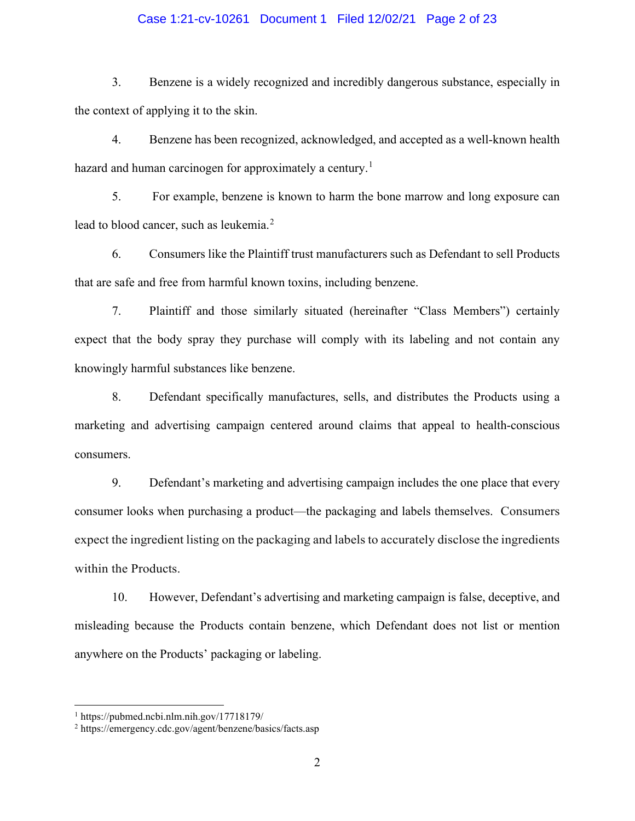## Case 1:21-cv-10261 Document 1 Filed 12/02/21 Page 2 of 23

3. Benzene is a widely recognized and incredibly dangerous substance, especially in the context of applying it to the skin.

4. Benzene has been recognized, acknowledged, and accepted as a well-known health hazard and human carcinogen for approximately a century.<sup>[1](#page-1-0)</sup>

5. For example, benzene is known to harm the bone marrow and long exposure can lead to blood cancer, such as leukemia.<sup>[2](#page-1-1)</sup>

6. Consumers like the Plaintiff trust manufacturers such as Defendant to sell Products that are safe and free from harmful known toxins, including benzene.

7. Plaintiff and those similarly situated (hereinafter "Class Members") certainly expect that the body spray they purchase will comply with its labeling and not contain any knowingly harmful substances like benzene.

8. Defendant specifically manufactures, sells, and distributes the Products using a marketing and advertising campaign centered around claims that appeal to health-conscious consumers.

9. Defendant's marketing and advertising campaign includes the one place that every consumer looks when purchasing a product—the packaging and labels themselves. Consumers expect the ingredient listing on the packaging and labels to accurately disclose the ingredients within the Products.

10. However, Defendant's advertising and marketing campaign is false, deceptive, and misleading because the Products contain benzene, which Defendant does not list or mention anywhere on the Products' packaging or labeling.

<span id="page-1-0"></span> $1 \text{ https://pubmed.ncbi.nlm.nih.gov/17718179/}$ 

<span id="page-1-1"></span><sup>2</sup> https://emergency.cdc.gov/agent/benzene/basics/facts.asp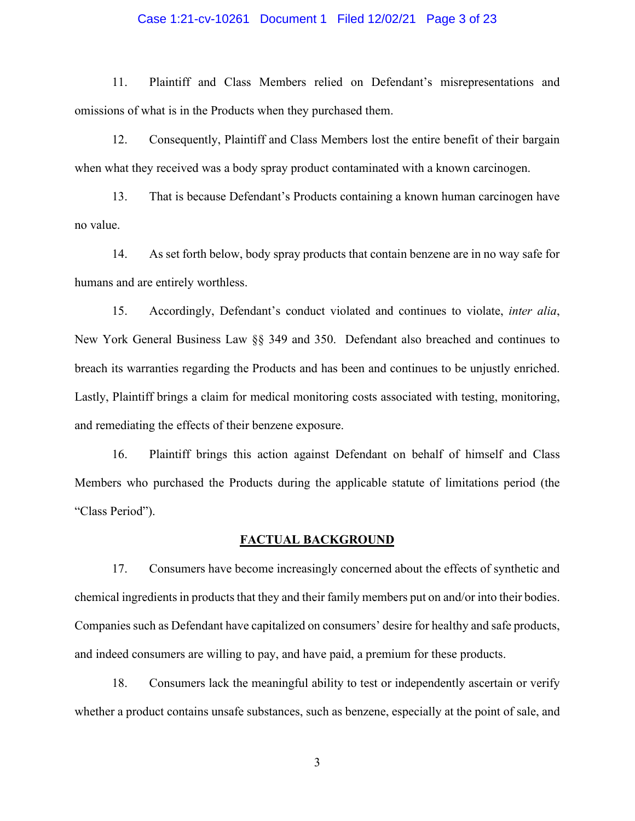### Case 1:21-cv-10261 Document 1 Filed 12/02/21 Page 3 of 23

11. Plaintiff and Class Members relied on Defendant's misrepresentations and omissions of what is in the Products when they purchased them.

12. Consequently, Plaintiff and Class Members lost the entire benefit of their bargain when what they received was a body spray product contaminated with a known carcinogen.

13. That is because Defendant's Products containing a known human carcinogen have no value.

14. As set forth below, body spray products that contain benzene are in no way safe for humans and are entirely worthless.

15. Accordingly, Defendant's conduct violated and continues to violate, *inter alia*, New York General Business Law §§ 349 and 350. Defendant also breached and continues to breach its warranties regarding the Products and has been and continues to be unjustly enriched. Lastly, Plaintiff brings a claim for medical monitoring costs associated with testing, monitoring, and remediating the effects of their benzene exposure.

16. Plaintiff brings this action against Defendant on behalf of himself and Class Members who purchased the Products during the applicable statute of limitations period (the "Class Period").

## **FACTUAL BACKGROUND**

17. Consumers have become increasingly concerned about the effects of synthetic and chemical ingredients in products that they and their family members put on and/or into their bodies. Companies such as Defendant have capitalized on consumers' desire for healthy and safe products, and indeed consumers are willing to pay, and have paid, a premium for these products.

18. Consumers lack the meaningful ability to test or independently ascertain or verify whether a product contains unsafe substances, such as benzene, especially at the point of sale, and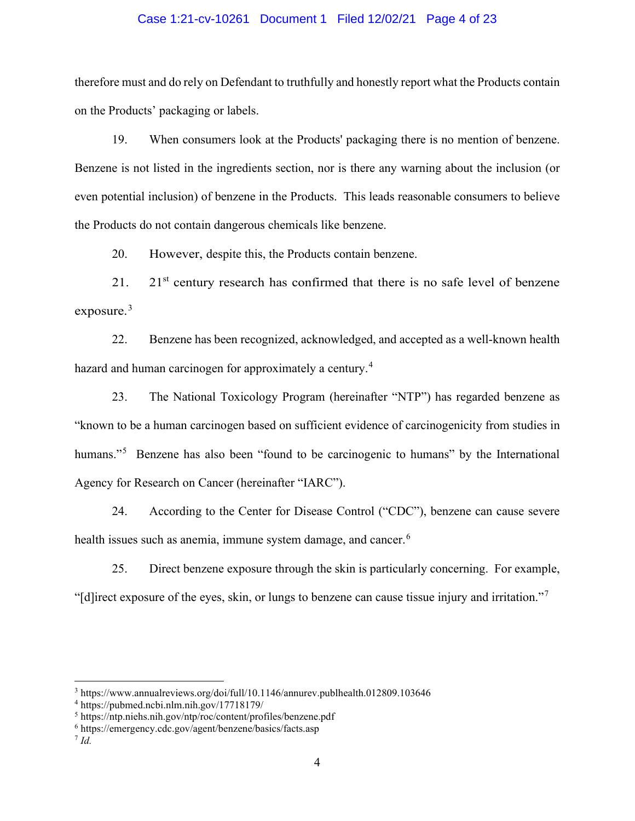### Case 1:21-cv-10261 Document 1 Filed 12/02/21 Page 4 of 23

therefore must and do rely on Defendant to truthfully and honestly report what the Products contain on the Products' packaging or labels.

19. When consumers look at the Products' packaging there is no mention of benzene. Benzene is not listed in the ingredients section, nor is there any warning about the inclusion (or even potential inclusion) of benzene in the Products. This leads reasonable consumers to believe the Products do not contain dangerous chemicals like benzene.

20. However, despite this, the Products contain benzene.

21. 21 $\mathrm{s}$ <sup>1</sup> century research has confirmed that there is no safe level of benzene exposure. $3$ 

22. Benzene has been recognized, acknowledged, and accepted as a well-known health hazard and human carcinogen for approximately a century.<sup>[4](#page-3-1)</sup>

23. The National Toxicology Program (hereinafter "NTP") has regarded benzene as "known to be a human carcinogen based on sufficient evidence of carcinogenicity from studies in humans."<sup>[5](#page-3-2)</sup> Benzene has also been "found to be carcinogenic to humans" by the International Agency for Research on Cancer (hereinafter "IARC").

24. According to the Center for Disease Control ("CDC"), benzene can cause severe health issues such as anemia, immune system damage, and cancer.<sup>[6](#page-3-3)</sup>

25. Direct benzene exposure through the skin is particularly concerning. For example, "[d]irect exposure of the eyes, skin, or lungs to benzene can cause tissue injury and irritation."[7](#page-3-4)

<span id="page-3-0"></span><sup>3</sup> https://www.annualreviews.org/doi/full/10.1146/annurev.publhealth.012809.103646

<span id="page-3-1"></span><sup>4</sup> https://pubmed.ncbi.nlm.nih.gov/17718179/

<span id="page-3-2"></span><sup>5</sup> https://ntp.niehs.nih.gov/ntp/roc/content/profiles/benzene.pdf

<span id="page-3-3"></span><sup>6</sup> https://emergency.cdc.gov/agent/benzene/basics/facts.asp

<span id="page-3-4"></span><sup>7</sup> *Id.*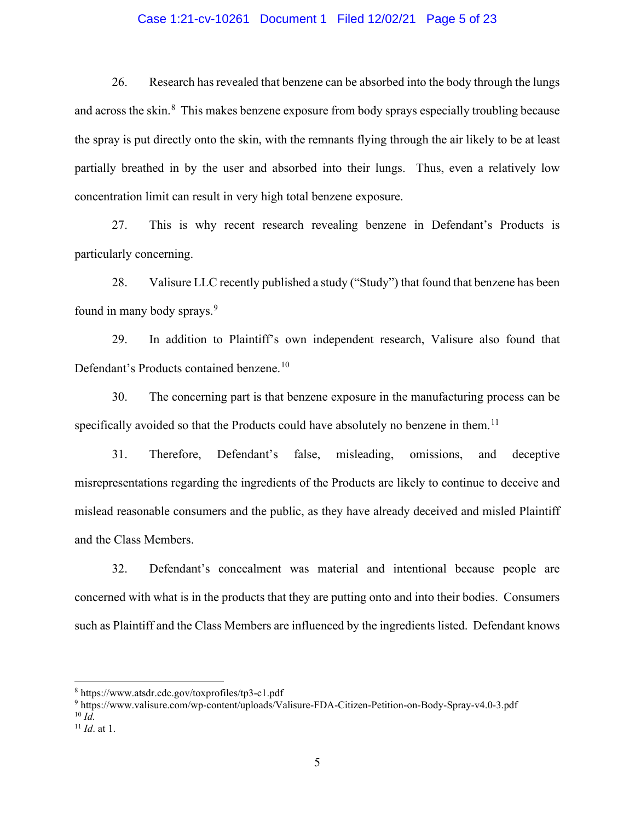## Case 1:21-cv-10261 Document 1 Filed 12/02/21 Page 5 of 23

26. Research has revealed that benzene can be absorbed into the body through the lungs and across the skin.<sup>[8](#page-4-0)</sup> This makes benzene exposure from body sprays especially troubling because the spray is put directly onto the skin, with the remnants flying through the air likely to be at least partially breathed in by the user and absorbed into their lungs. Thus, even a relatively low concentration limit can result in very high total benzene exposure.

27. This is why recent research revealing benzene in Defendant's Products is particularly concerning.

28. Valisure LLC recently published a study ("Study") that found that benzene has been found in many body sprays.<sup>[9](#page-4-1)</sup>

29. In addition to Plaintiff's own independent research, Valisure also found that Defendant's Products contained benzene.<sup>[10](#page-4-2)</sup>

30. The concerning part is that benzene exposure in the manufacturing process can be specifically avoided so that the Products could have absolutely no benzene in them.<sup>[11](#page-4-3)</sup>

31. Therefore, Defendant's false, misleading, omissions, and deceptive misrepresentations regarding the ingredients of the Products are likely to continue to deceive and mislead reasonable consumers and the public, as they have already deceived and misled Plaintiff and the Class Members.

32. Defendant's concealment was material and intentional because people are concerned with what is in the products that they are putting onto and into their bodies. Consumers such as Plaintiff and the Class Members are influenced by the ingredients listed. Defendant knows

<span id="page-4-1"></span><sup>9</sup> https://www.valisure.com/wp-content/uploads/Valisure-FDA-Citizen-Petition-on-Body-Spray-v4.0-3.pdf  $^{10}$  *Id.* 

<span id="page-4-0"></span><sup>8</sup> https://www.atsdr.cdc.gov/toxprofiles/tp3-c1.pdf

<span id="page-4-3"></span><span id="page-4-2"></span><sup>11</sup> *Id*. at 1.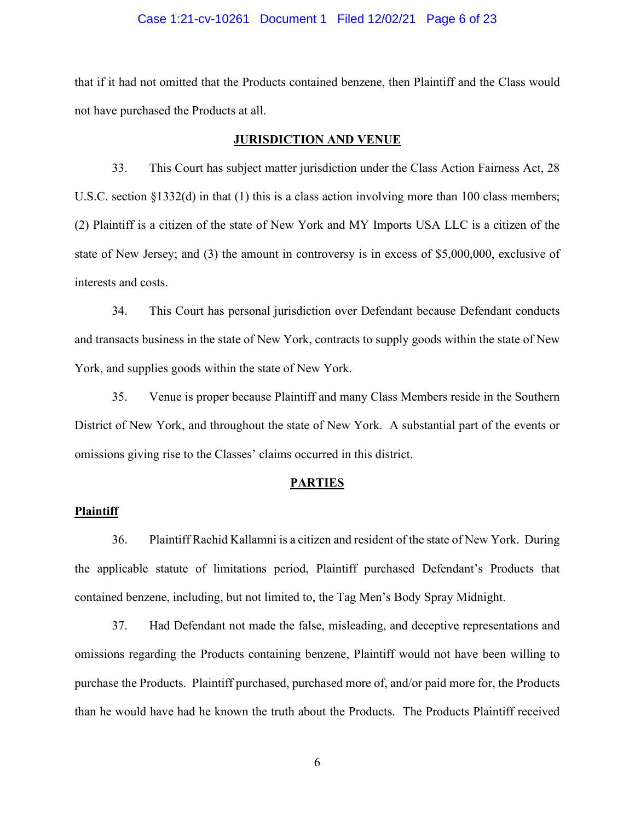### Case 1:21-cv-10261 Document 1 Filed 12/02/21 Page 6 of 23

that if it had not omitted that the Products contained benzene, then Plaintiff and the Class would not have purchased the Products at all.

### **JURISDICTION AND VENUE**

33. This Court has subject matter jurisdiction under the Class Action Fairness Act, 28 U.S.C. section §1332(d) in that (1) this is a class action involving more than 100 class members; (2) Plaintiff is a citizen of the state of New York and MY Imports USA LLC is a citizen of the state of New Jersey; and (3) the amount in controversy is in excess of \$5,000,000, exclusive of interests and costs.

34. This Court has personal jurisdiction over Defendant because Defendant conducts and transacts business in the state of New York, contracts to supply goods within the state of New York, and supplies goods within the state of New York.

35. Venue is proper because Plaintiff and many Class Members reside in the Southern District of New York, and throughout the state of New York. A substantial part of the events or omissions giving rise to the Classes' claims occurred in this district.

#### **PARTIES**

#### **Plaintiff**

36. Plaintiff Rachid Kallamni is a citizen and resident of the state of New York. During the applicable statute of limitations period, Plaintiff purchased Defendant's Products that contained benzene, including, but not limited to, the Tag Men's Body Spray Midnight.

37. Had Defendant not made the false, misleading, and deceptive representations and omissions regarding the Products containing benzene, Plaintiff would not have been willing to purchase the Products. Plaintiff purchased, purchased more of, and/or paid more for, the Products than he would have had he known the truth about the Products. The Products Plaintiff received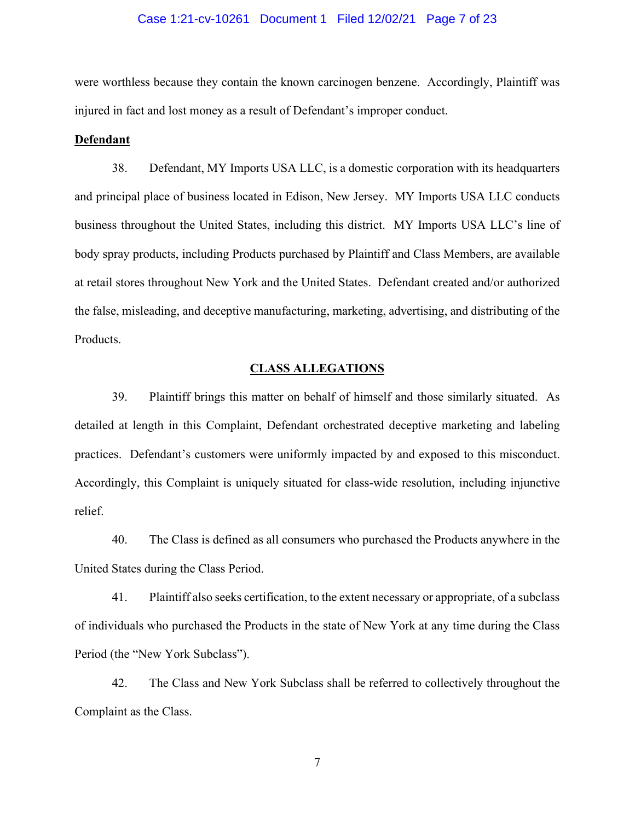### Case 1:21-cv-10261 Document 1 Filed 12/02/21 Page 7 of 23

were worthless because they contain the known carcinogen benzene. Accordingly, Plaintiff was injured in fact and lost money as a result of Defendant's improper conduct.

#### **Defendant**

38. Defendant, MY Imports USA LLC, is a domestic corporation with its headquarters and principal place of business located in Edison, New Jersey. MY Imports USA LLC conducts business throughout the United States, including this district. MY Imports USA LLC's line of body spray products, including Products purchased by Plaintiff and Class Members, are available at retail stores throughout New York and the United States. Defendant created and/or authorized the false, misleading, and deceptive manufacturing, marketing, advertising, and distributing of the Products.

## **CLASS ALLEGATIONS**

39. Plaintiff brings this matter on behalf of himself and those similarly situated. As detailed at length in this Complaint, Defendant orchestrated deceptive marketing and labeling practices. Defendant's customers were uniformly impacted by and exposed to this misconduct. Accordingly, this Complaint is uniquely situated for class-wide resolution, including injunctive relief.

40. The Class is defined as all consumers who purchased the Products anywhere in the United States during the Class Period.

41. Plaintiff also seeks certification, to the extent necessary or appropriate, of a subclass of individuals who purchased the Products in the state of New York at any time during the Class Period (the "New York Subclass").

42. The Class and New York Subclass shall be referred to collectively throughout the Complaint as the Class.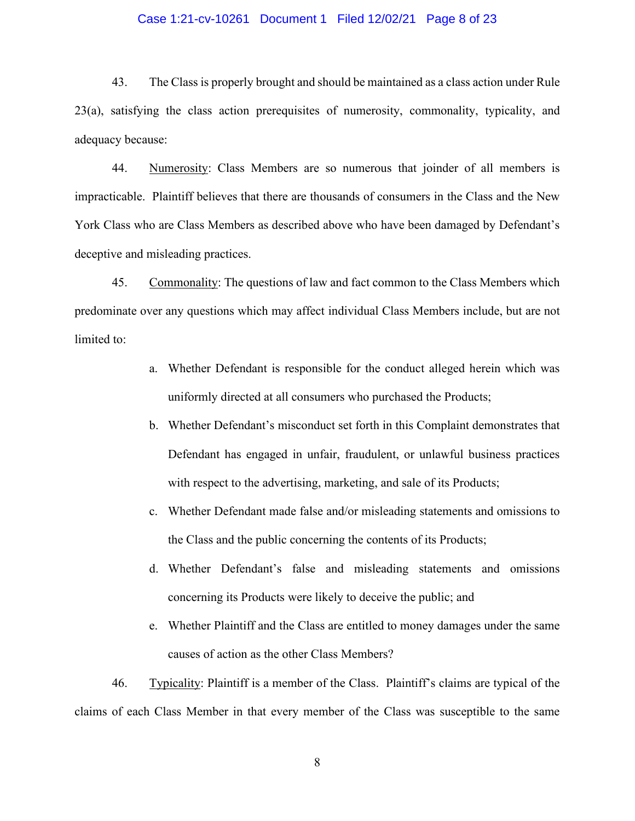## Case 1:21-cv-10261 Document 1 Filed 12/02/21 Page 8 of 23

43. The Class is properly brought and should be maintained as a class action under Rule 23(a), satisfying the class action prerequisites of numerosity, commonality, typicality, and adequacy because:

44. Numerosity: Class Members are so numerous that joinder of all members is impracticable. Plaintiff believes that there are thousands of consumers in the Class and the New York Class who are Class Members as described above who have been damaged by Defendant's deceptive and misleading practices.

45. Commonality: The questions of law and fact common to the Class Members which predominate over any questions which may affect individual Class Members include, but are not limited to:

- a. Whether Defendant is responsible for the conduct alleged herein which was uniformly directed at all consumers who purchased the Products;
- b. Whether Defendant's misconduct set forth in this Complaint demonstrates that Defendant has engaged in unfair, fraudulent, or unlawful business practices with respect to the advertising, marketing, and sale of its Products;
- c. Whether Defendant made false and/or misleading statements and omissions to the Class and the public concerning the contents of its Products;
- d. Whether Defendant's false and misleading statements and omissions concerning its Products were likely to deceive the public; and
- e. Whether Plaintiff and the Class are entitled to money damages under the same causes of action as the other Class Members?

46. Typicality: Plaintiff is a member of the Class. Plaintiff's claims are typical of the claims of each Class Member in that every member of the Class was susceptible to the same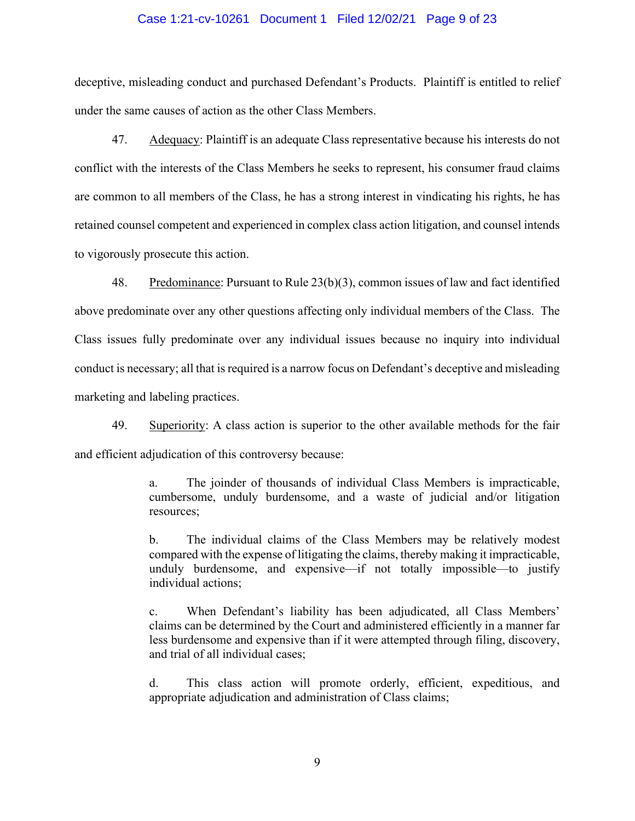### Case 1:21-cv-10261 Document 1 Filed 12/02/21 Page 9 of 23

deceptive, misleading conduct and purchased Defendant's Products. Plaintiff is entitled to relief under the same causes of action as the other Class Members.

47. Adequacy: Plaintiff is an adequate Class representative because his interests do not conflict with the interests of the Class Members he seeks to represent, his consumer fraud claims are common to all members of the Class, he has a strong interest in vindicating his rights, he has retained counsel competent and experienced in complex class action litigation, and counsel intends to vigorously prosecute this action.

48. Predominance: Pursuant to Rule 23(b)(3), common issues of law and fact identified above predominate over any other questions affecting only individual members of the Class. The Class issues fully predominate over any individual issues because no inquiry into individual conduct is necessary; all that is required is a narrow focus on Defendant's deceptive and misleading marketing and labeling practices.

49. Superiority: A class action is superior to the other available methods for the fair and efficient adjudication of this controversy because:

> a. The joinder of thousands of individual Class Members is impracticable, cumbersome, unduly burdensome, and a waste of judicial and/or litigation resources;

> b. The individual claims of the Class Members may be relatively modest compared with the expense of litigating the claims, thereby making it impracticable, unduly burdensome, and expensive—if not totally impossible—to justify individual actions;

> c. When Defendant's liability has been adjudicated, all Class Members' claims can be determined by the Court and administered efficiently in a manner far less burdensome and expensive than if it were attempted through filing, discovery, and trial of all individual cases;

> d. This class action will promote orderly, efficient, expeditious, and appropriate adjudication and administration of Class claims;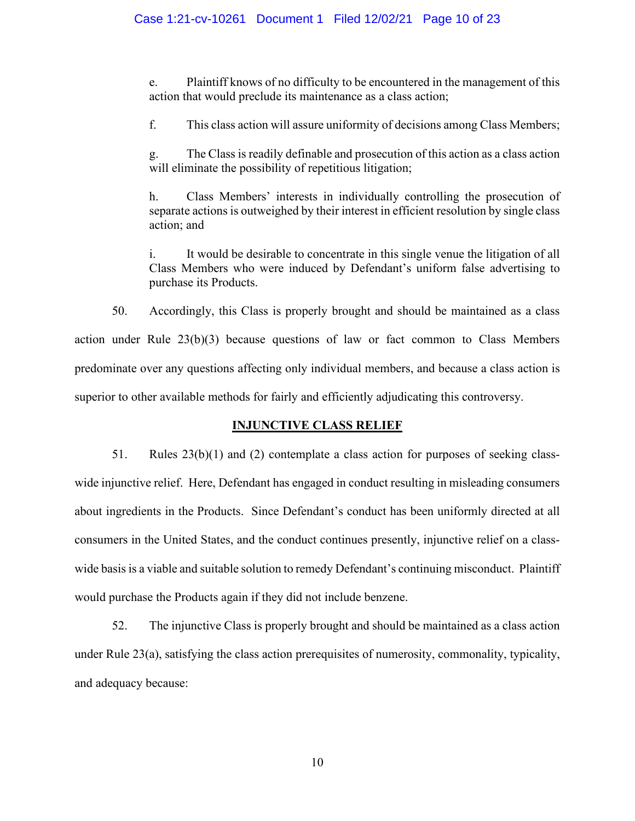e. Plaintiff knows of no difficulty to be encountered in the management of this action that would preclude its maintenance as a class action;

f. This class action will assure uniformity of decisions among Class Members;

g. The Class is readily definable and prosecution of this action as a class action will eliminate the possibility of repetitious litigation;

h. Class Members' interests in individually controlling the prosecution of separate actions is outweighed by their interest in efficient resolution by single class action; and

i. It would be desirable to concentrate in this single venue the litigation of all Class Members who were induced by Defendant's uniform false advertising to purchase its Products.

50. Accordingly, this Class is properly brought and should be maintained as a class action under Rule 23(b)(3) because questions of law or fact common to Class Members predominate over any questions affecting only individual members, and because a class action is superior to other available methods for fairly and efficiently adjudicating this controversy.

# **INJUNCTIVE CLASS RELIEF**

51. Rules  $23(b)(1)$  and (2) contemplate a class action for purposes of seeking classwide injunctive relief. Here, Defendant has engaged in conduct resulting in misleading consumers about ingredients in the Products. Since Defendant's conduct has been uniformly directed at all consumers in the United States, and the conduct continues presently, injunctive relief on a classwide basis is a viable and suitable solution to remedy Defendant's continuing misconduct. Plaintiff would purchase the Products again if they did not include benzene.

52. The injunctive Class is properly brought and should be maintained as a class action under Rule 23(a), satisfying the class action prerequisites of numerosity, commonality, typicality, and adequacy because: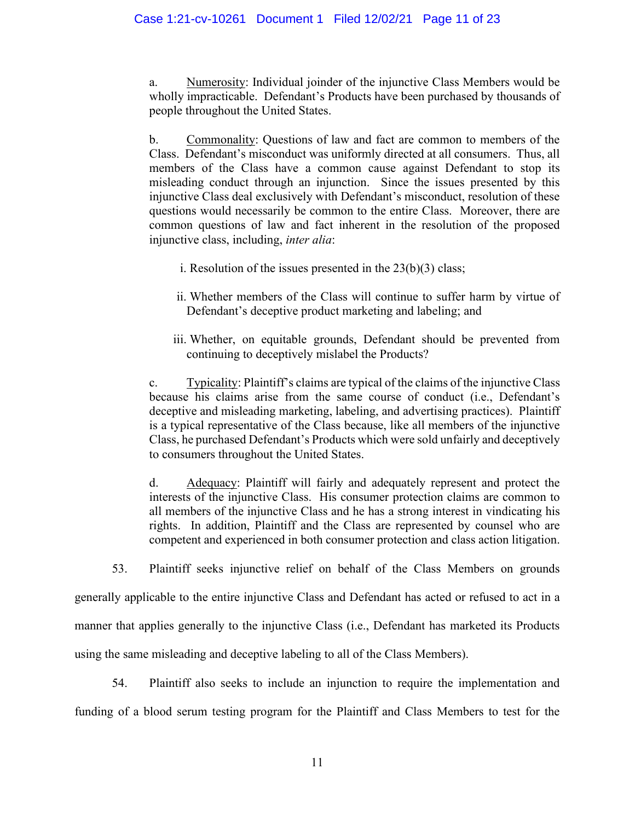a. Numerosity: Individual joinder of the injunctive Class Members would be wholly impracticable. Defendant's Products have been purchased by thousands of people throughout the United States.

b. Commonality: Questions of law and fact are common to members of the Class. Defendant's misconduct was uniformly directed at all consumers. Thus, all members of the Class have a common cause against Defendant to stop its misleading conduct through an injunction. Since the issues presented by this injunctive Class deal exclusively with Defendant's misconduct, resolution of these questions would necessarily be common to the entire Class. Moreover, there are common questions of law and fact inherent in the resolution of the proposed injunctive class, including, *inter alia*:

- i. Resolution of the issues presented in the  $23(b)(3)$  class;
- ii. Whether members of the Class will continue to suffer harm by virtue of Defendant's deceptive product marketing and labeling; and
- iii. Whether, on equitable grounds, Defendant should be prevented from continuing to deceptively mislabel the Products?

c. Typicality: Plaintiff's claims are typical of the claims of the injunctive Class because his claims arise from the same course of conduct (i.e., Defendant's deceptive and misleading marketing, labeling, and advertising practices). Plaintiff is a typical representative of the Class because, like all members of the injunctive Class, he purchased Defendant's Products which were sold unfairly and deceptively to consumers throughout the United States.

d. Adequacy: Plaintiff will fairly and adequately represent and protect the interests of the injunctive Class. His consumer protection claims are common to all members of the injunctive Class and he has a strong interest in vindicating his rights. In addition, Plaintiff and the Class are represented by counsel who are competent and experienced in both consumer protection and class action litigation.

53. Plaintiff seeks injunctive relief on behalf of the Class Members on grounds

generally applicable to the entire injunctive Class and Defendant has acted or refused to act in a manner that applies generally to the injunctive Class (i.e., Defendant has marketed its Products using the same misleading and deceptive labeling to all of the Class Members).

54. Plaintiff also seeks to include an injunction to require the implementation and funding of a blood serum testing program for the Plaintiff and Class Members to test for the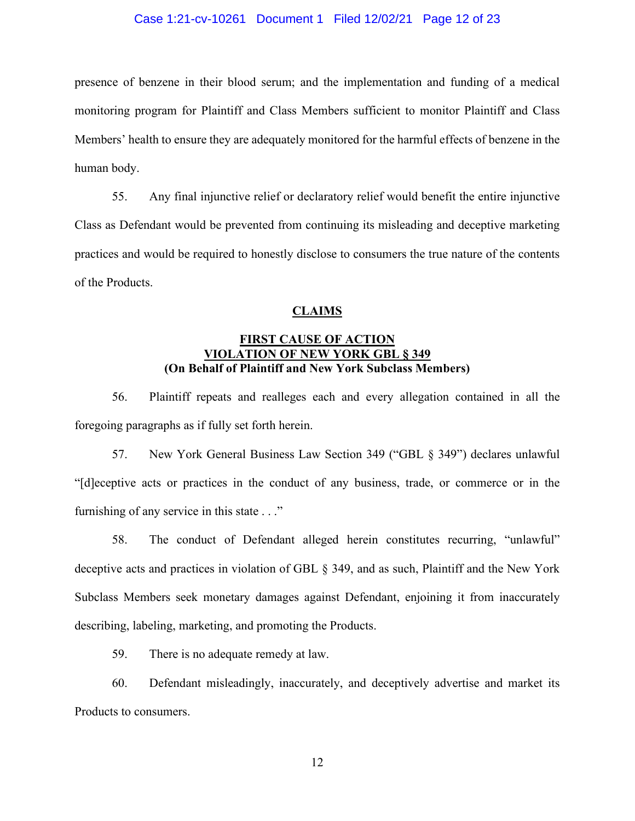### Case 1:21-cv-10261 Document 1 Filed 12/02/21 Page 12 of 23

presence of benzene in their blood serum; and the implementation and funding of a medical monitoring program for Plaintiff and Class Members sufficient to monitor Plaintiff and Class Members' health to ensure they are adequately monitored for the harmful effects of benzene in the human body.

55. Any final injunctive relief or declaratory relief would benefit the entire injunctive Class as Defendant would be prevented from continuing its misleading and deceptive marketing practices and would be required to honestly disclose to consumers the true nature of the contents of the Products.

## **CLAIMS**

# **FIRST CAUSE OF ACTION VIOLATION OF NEW YORK GBL § 349 (On Behalf of Plaintiff and New York Subclass Members)**

56. Plaintiff repeats and realleges each and every allegation contained in all the foregoing paragraphs as if fully set forth herein.

57. New York General Business Law Section 349 ("GBL § 349") declares unlawful "[d]eceptive acts or practices in the conduct of any business, trade, or commerce or in the furnishing of any service in this state . . ."

58. The conduct of Defendant alleged herein constitutes recurring, "unlawful" deceptive acts and practices in violation of GBL § 349, and as such, Plaintiff and the New York Subclass Members seek monetary damages against Defendant, enjoining it from inaccurately describing, labeling, marketing, and promoting the Products.

59. There is no adequate remedy at law.

60. Defendant misleadingly, inaccurately, and deceptively advertise and market its Products to consumers.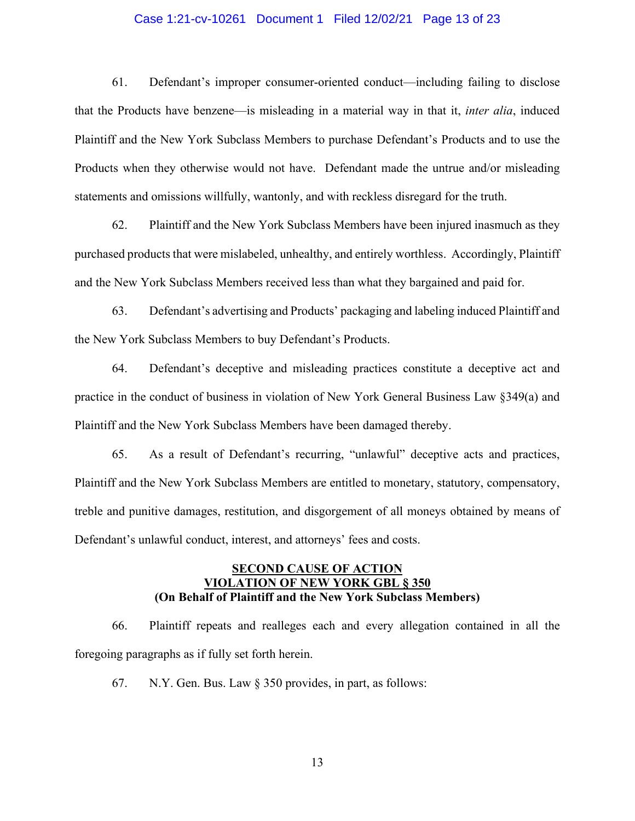## Case 1:21-cv-10261 Document 1 Filed 12/02/21 Page 13 of 23

61. Defendant's improper consumer-oriented conduct—including failing to disclose that the Products have benzene—is misleading in a material way in that it, *inter alia*, induced Plaintiff and the New York Subclass Members to purchase Defendant's Products and to use the Products when they otherwise would not have. Defendant made the untrue and/or misleading statements and omissions willfully, wantonly, and with reckless disregard for the truth.

62. Plaintiff and the New York Subclass Members have been injured inasmuch as they purchased products that were mislabeled, unhealthy, and entirely worthless. Accordingly, Plaintiff and the New York Subclass Members received less than what they bargained and paid for.

63. Defendant's advertising and Products' packaging and labeling induced Plaintiff and the New York Subclass Members to buy Defendant's Products.

64. Defendant's deceptive and misleading practices constitute a deceptive act and practice in the conduct of business in violation of New York General Business Law §349(a) and Plaintiff and the New York Subclass Members have been damaged thereby.

65. As a result of Defendant's recurring, "unlawful" deceptive acts and practices, Plaintiff and the New York Subclass Members are entitled to monetary, statutory, compensatory, treble and punitive damages, restitution, and disgorgement of all moneys obtained by means of Defendant's unlawful conduct, interest, and attorneys' fees and costs.

## **SECOND CAUSE OF ACTION VIOLATION OF NEW YORK GBL § 350 (On Behalf of Plaintiff and the New York Subclass Members)**

66. Plaintiff repeats and realleges each and every allegation contained in all the foregoing paragraphs as if fully set forth herein.

67. N.Y. Gen. Bus. Law § 350 provides, in part, as follows: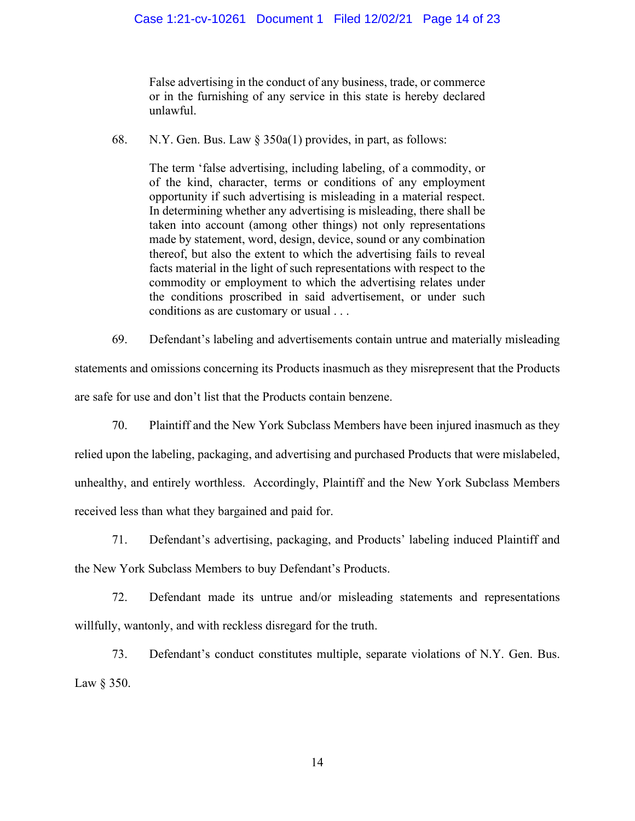False advertising in the conduct of any business, trade, or commerce or in the furnishing of any service in this state is hereby declared unlawful.

68. N.Y. Gen. Bus. Law § 350a(1) provides, in part, as follows:

The term 'false advertising, including labeling, of a commodity, or of the kind, character, terms or conditions of any employment opportunity if such advertising is misleading in a material respect. In determining whether any advertising is misleading, there shall be taken into account (among other things) not only representations made by statement, word, design, device, sound or any combination thereof, but also the extent to which the advertising fails to reveal facts material in the light of such representations with respect to the commodity or employment to which the advertising relates under the conditions proscribed in said advertisement, or under such conditions as are customary or usual . . .

69. Defendant's labeling and advertisements contain untrue and materially misleading statements and omissions concerning its Products inasmuch as they misrepresent that the Products are safe for use and don't list that the Products contain benzene.

70. Plaintiff and the New York Subclass Members have been injured inasmuch as they relied upon the labeling, packaging, and advertising and purchased Products that were mislabeled, unhealthy, and entirely worthless. Accordingly, Plaintiff and the New York Subclass Members received less than what they bargained and paid for.

71. Defendant's advertising, packaging, and Products' labeling induced Plaintiff and the New York Subclass Members to buy Defendant's Products.

72. Defendant made its untrue and/or misleading statements and representations willfully, wantonly, and with reckless disregard for the truth.

73. Defendant's conduct constitutes multiple, separate violations of N.Y. Gen. Bus. Law § 350.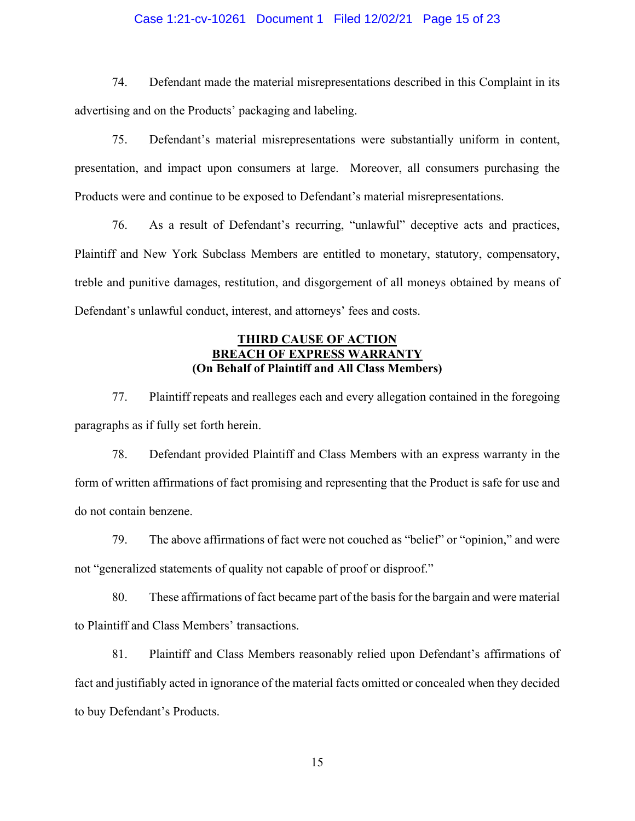## Case 1:21-cv-10261 Document 1 Filed 12/02/21 Page 15 of 23

74. Defendant made the material misrepresentations described in this Complaint in its advertising and on the Products' packaging and labeling.

75. Defendant's material misrepresentations were substantially uniform in content, presentation, and impact upon consumers at large. Moreover, all consumers purchasing the Products were and continue to be exposed to Defendant's material misrepresentations.

76. As a result of Defendant's recurring, "unlawful" deceptive acts and practices, Plaintiff and New York Subclass Members are entitled to monetary, statutory, compensatory, treble and punitive damages, restitution, and disgorgement of all moneys obtained by means of Defendant's unlawful conduct, interest, and attorneys' fees and costs.

## **THIRD CAUSE OF ACTION BREACH OF EXPRESS WARRANT (On Behalf of Plaintiff and All Class Members)**

77. Plaintiff repeats and realleges each and every allegation contained in the foregoing paragraphs as if fully set forth herein.

78. Defendant provided Plaintiff and Class Members with an express warranty in the form of written affirmations of fact promising and representing that the Product is safe for use and do not contain benzene.

79. The above affirmations of fact were not couched as "belief" or "opinion," and were not "generalized statements of quality not capable of proof or disproof."

80. These affirmations of fact became part of the basis for the bargain and were material to Plaintiff and Class Members' transactions.

81. Plaintiff and Class Members reasonably relied upon Defendant's affirmations of fact and justifiably acted in ignorance of the material facts omitted or concealed when they decided to buy Defendant's Products.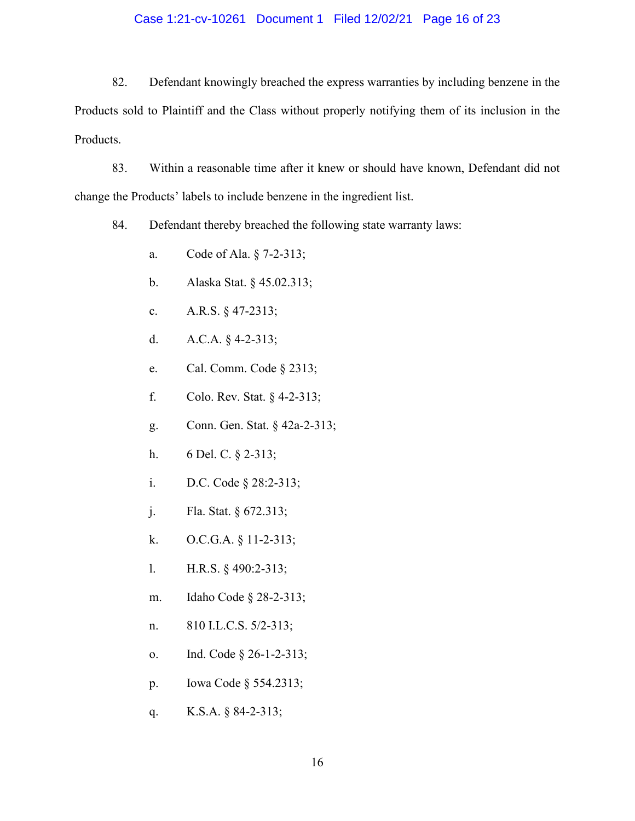## Case 1:21-cv-10261 Document 1 Filed 12/02/21 Page 16 of 23

82. Defendant knowingly breached the express warranties by including benzene in the Products sold to Plaintiff and the Class without properly notifying them of its inclusion in the Products.

83. Within a reasonable time after it knew or should have known, Defendant did not change the Products' labels to include benzene in the ingredient list.

84. Defendant thereby breached the following state warranty laws:

- a. Code of Ala. § 7-2-313;
- b. Alaska Stat. § 45.02.313;
- c. A.R.S. § 47-2313;
- d. A.C.A. § 4-2-313;
- e. Cal. Comm. Code § 2313;
- f. Colo. Rev. Stat. § 4-2-313;
- g. Conn. Gen. Stat. § 42a-2-313;
- h. 6 Del. C. § 2-313;
- i. D.C. Code § 28:2-313;
- j. Fla. Stat. § 672.313;
- k. O.C.G.A. § 11-2-313;
- l. H.R.S. § 490:2-313;
- m. Idaho Code § 28-2-313;
- n. 810 I.L.C.S. 5/2-313;
- o. Ind. Code § 26-1-2-313;
- p. Iowa Code § 554.2313;
- q. K.S.A. § 84-2-313;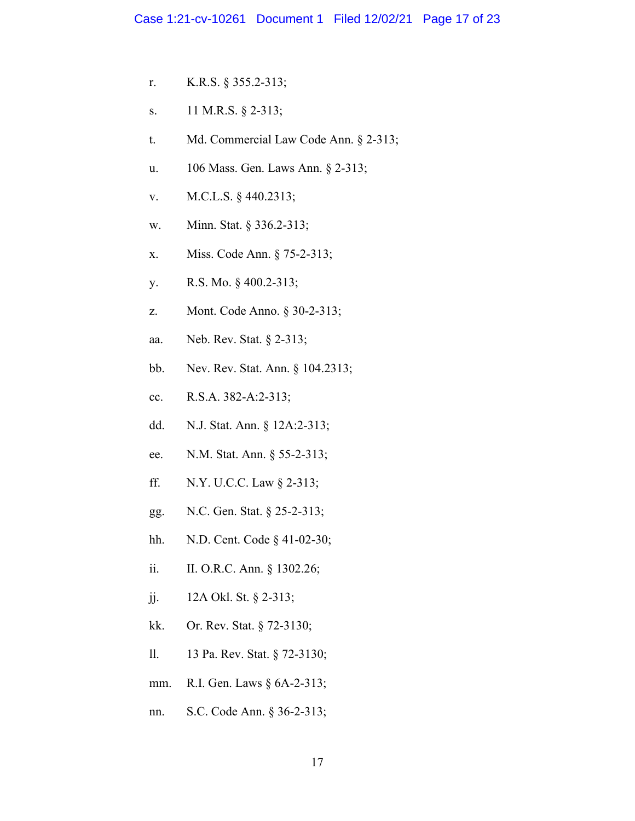- r. K.R.S. § 355.2-313;
- s. 11 M.R.S. § 2-313;
- t. Md. Commercial Law Code Ann. § 2-313;
- u. 106 Mass. Gen. Laws Ann. § 2-313;
- v. M.C.L.S. § 440.2313;
- w. Minn. Stat. § 336.2-313;
- x. Miss. Code Ann. § 75-2-313;
- y. R.S. Mo. § 400.2-313;
- z. Mont. Code Anno. § 30-2-313;
- aa. Neb. Rev. Stat. § 2-313;
- bb. Nev. Rev. Stat. Ann. § 104.2313;
- cc. R.S.A. 382-A:2-313;
- dd. N.J. Stat. Ann. § 12A:2-313;
- ee. N.M. Stat. Ann. § 55-2-313;
- ff. N.Y. U.C.C. Law § 2-313;
- gg. N.C. Gen. Stat. § 25-2-313;
- hh. N.D. Cent. Code § 41-02-30;
- ii. II. O.R.C. Ann. § 1302.26;
- jj. 12A Okl. St. § 2-313;
- kk. Or. Rev. Stat. § 72-3130;
- ll. 13 Pa. Rev. Stat. § 72-3130;
- mm. R.I. Gen. Laws § 6A-2-313;
- nn. S.C. Code Ann. § 36-2-313;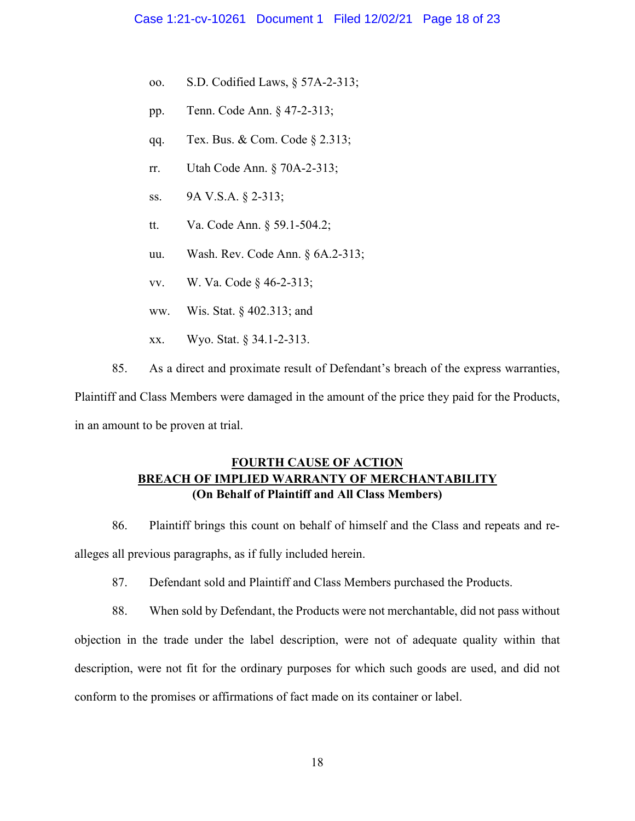- oo. S.D. Codified Laws, § 57A-2-313;
- pp. Tenn. Code Ann. § 47-2-313;
- qq. Tex. Bus. & Com. Code § 2.313;
- rr. Utah Code Ann. § 70A-2-313;
- ss. 9A V.S.A. § 2-313;
- tt. Va. Code Ann. § 59.1-504.2;
- uu. Wash. Rev. Code Ann. § 6A.2-313;
- vv. W. Va. Code § 46-2-313;
- ww. Wis. Stat. § 402.313; and
- xx. Wyo. Stat. § 34.1-2-313.
- 85. As a direct and proximate result of Defendant's breach of the express warranties,

Plaintiff and Class Members were damaged in the amount of the price they paid for the Products, in an amount to be proven at trial.

# **FOURTH CAUSE OF ACTION BREACH OF IMPLIED WARRANTY OF MERCHANTABILITY (On Behalf of Plaintiff and All Class Members)**

86. Plaintiff brings this count on behalf of himself and the Class and repeats and realleges all previous paragraphs, as if fully included herein.

87. Defendant sold and Plaintiff and Class Members purchased the Products.

88. When sold by Defendant, the Products were not merchantable, did not pass without objection in the trade under the label description, were not of adequate quality within that description, were not fit for the ordinary purposes for which such goods are used, and did not conform to the promises or affirmations of fact made on its container or label.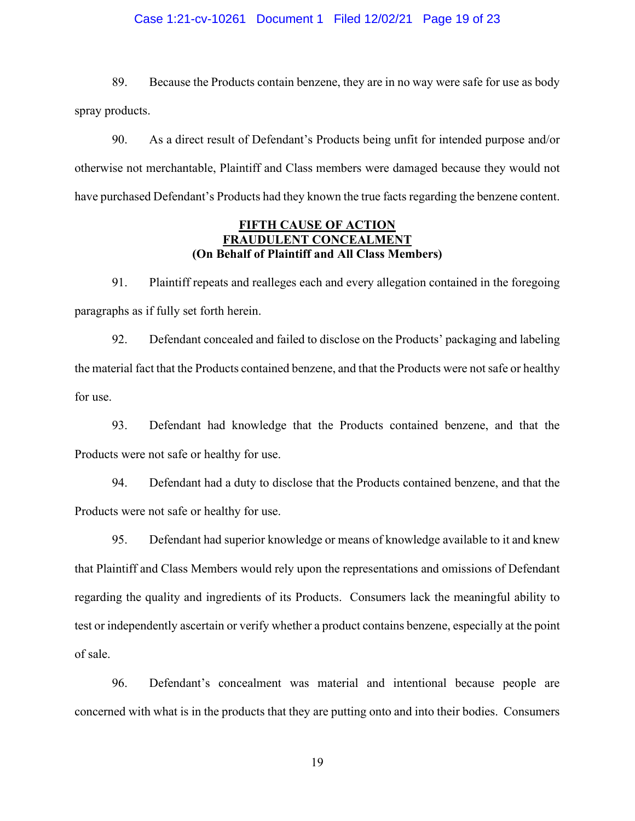## Case 1:21-cv-10261 Document 1 Filed 12/02/21 Page 19 of 23

89. Because the Products contain benzene, they are in no way were safe for use as body spray products.

90. As a direct result of Defendant's Products being unfit for intended purpose and/or otherwise not merchantable, Plaintiff and Class members were damaged because they would not have purchased Defendant's Products had they known the true facts regarding the benzene content.

## **FIFTH CAUSE OF ACTION FRAUDULENT CONCEALMENT (On Behalf of Plaintiff and All Class Members)**

91. Plaintiff repeats and realleges each and every allegation contained in the foregoing paragraphs as if fully set forth herein.

92. Defendant concealed and failed to disclose on the Products' packaging and labeling the material fact that the Products contained benzene, and that the Products were not safe or healthy for use.

93. Defendant had knowledge that the Products contained benzene, and that the Products were not safe or healthy for use.

94. Defendant had a duty to disclose that the Products contained benzene, and that the Products were not safe or healthy for use.

95. Defendant had superior knowledge or means of knowledge available to it and knew that Plaintiff and Class Members would rely upon the representations and omissions of Defendant regarding the quality and ingredients of its Products. Consumers lack the meaningful ability to test or independently ascertain or verify whether a product contains benzene, especially at the point of sale.

96. Defendant's concealment was material and intentional because people are concerned with what is in the products that they are putting onto and into their bodies. Consumers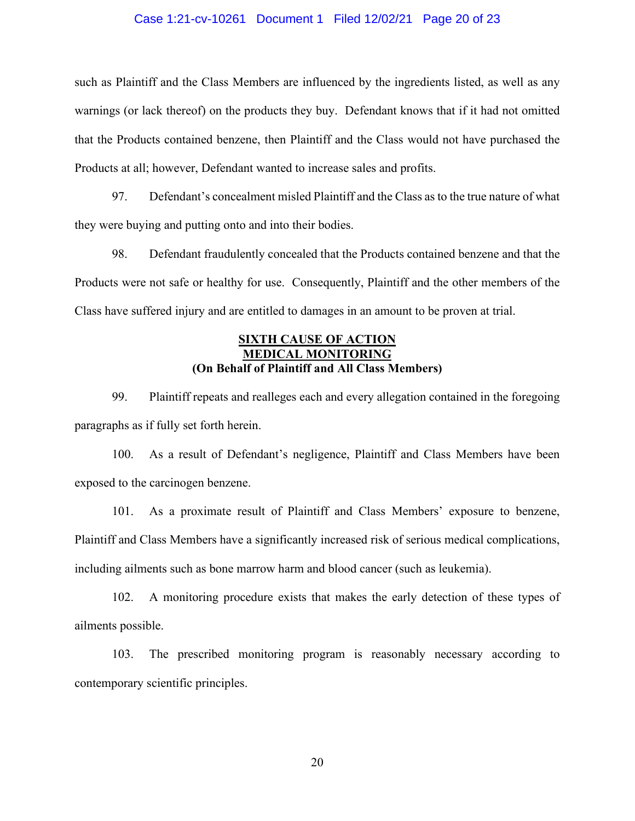### Case 1:21-cv-10261 Document 1 Filed 12/02/21 Page 20 of 23

such as Plaintiff and the Class Members are influenced by the ingredients listed, as well as any warnings (or lack thereof) on the products they buy. Defendant knows that if it had not omitted that the Products contained benzene, then Plaintiff and the Class would not have purchased the Products at all; however, Defendant wanted to increase sales and profits.

97. Defendant's concealment misled Plaintiff and the Class as to the true nature of what they were buying and putting onto and into their bodies.

98. Defendant fraudulently concealed that the Products contained benzene and that the Products were not safe or healthy for use. Consequently, Plaintiff and the other members of the Class have suffered injury and are entitled to damages in an amount to be proven at trial.

## **SIXTH CAUSE OF ACTION MEDICAL MONITORING (On Behalf of Plaintiff and All Class Members)**

99. Plaintiff repeats and realleges each and every allegation contained in the foregoing paragraphs as if fully set forth herein.

100. As a result of Defendant's negligence, Plaintiff and Class Members have been exposed to the carcinogen benzene.

101. As a proximate result of Plaintiff and Class Members' exposure to benzene, Plaintiff and Class Members have a significantly increased risk of serious medical complications, including ailments such as bone marrow harm and blood cancer (such as leukemia).

102. A monitoring procedure exists that makes the early detection of these types of ailments possible.

103. The prescribed monitoring program is reasonably necessary according to contemporary scientific principles.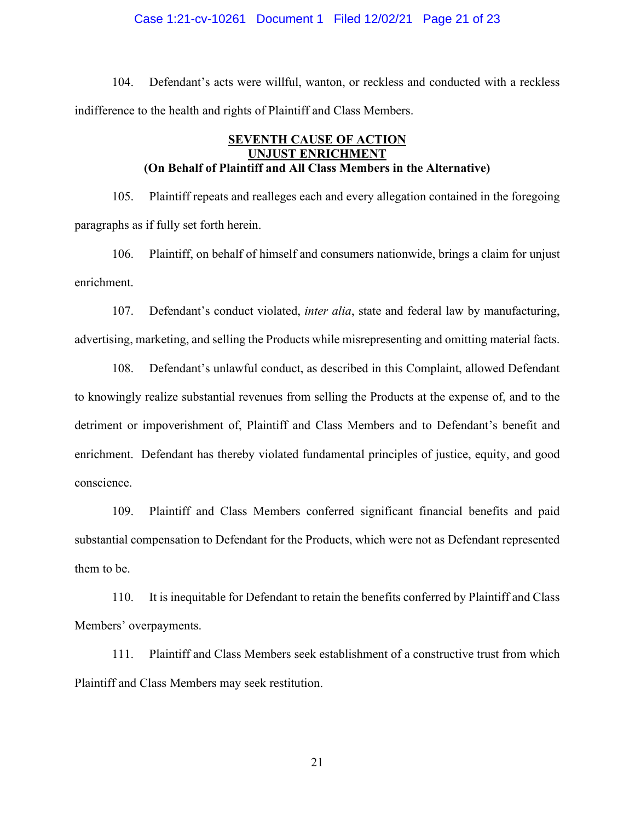### Case 1:21-cv-10261 Document 1 Filed 12/02/21 Page 21 of 23

104. Defendant's acts were willful, wanton, or reckless and conducted with a reckless indifference to the health and rights of Plaintiff and Class Members.

# **SEVENTH CAUSE OF ACTION UNJUST ENRICHMENT (On Behalf of Plaintiff and All Class Members in the Alternative)**

105. Plaintiff repeats and realleges each and every allegation contained in the foregoing paragraphs as if fully set forth herein.

106. Plaintiff, on behalf of himself and consumers nationwide, brings a claim for unjust enrichment.

107. Defendant's conduct violated, *inter alia*, state and federal law by manufacturing, advertising, marketing, and selling the Products while misrepresenting and omitting material facts.

108. Defendant's unlawful conduct, as described in this Complaint, allowed Defendant to knowingly realize substantial revenues from selling the Products at the expense of, and to the detriment or impoverishment of, Plaintiff and Class Members and to Defendant's benefit and enrichment. Defendant has thereby violated fundamental principles of justice, equity, and good conscience.

109. Plaintiff and Class Members conferred significant financial benefits and paid substantial compensation to Defendant for the Products, which were not as Defendant represented them to be.

110. It is inequitable for Defendant to retain the benefits conferred by Plaintiff and Class Members' overpayments.

111. Plaintiff and Class Members seek establishment of a constructive trust from which Plaintiff and Class Members may seek restitution.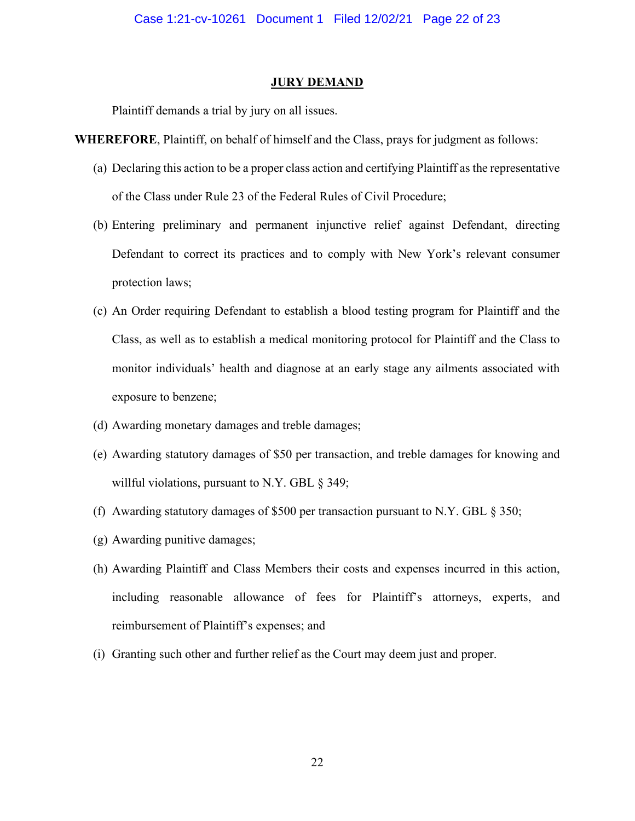#### **JURY DEMAND**

Plaintiff demands a trial by jury on all issues.

**WHEREFORE**, Plaintiff, on behalf of himself and the Class, prays for judgment as follows:

- (a) Declaring this action to be a proper class action and certifying Plaintiff as the representative of the Class under Rule 23 of the Federal Rules of Civil Procedure;
- (b) Entering preliminary and permanent injunctive relief against Defendant, directing Defendant to correct its practices and to comply with New York's relevant consumer protection laws;
- (c) An Order requiring Defendant to establish a blood testing program for Plaintiff and the Class, as well as to establish a medical monitoring protocol for Plaintiff and the Class to monitor individuals' health and diagnose at an early stage any ailments associated with exposure to benzene;
- (d) Awarding monetary damages and treble damages;
- (e) Awarding statutory damages of \$50 per transaction, and treble damages for knowing and willful violations, pursuant to N.Y. GBL § 349;
- (f) Awarding statutory damages of \$500 per transaction pursuant to N.Y. GBL § 350;
- (g) Awarding punitive damages;
- (h) Awarding Plaintiff and Class Members their costs and expenses incurred in this action, including reasonable allowance of fees for Plaintiff's attorneys, experts, and reimbursement of Plaintiff's expenses; and
- (i) Granting such other and further relief as the Court may deem just and proper.